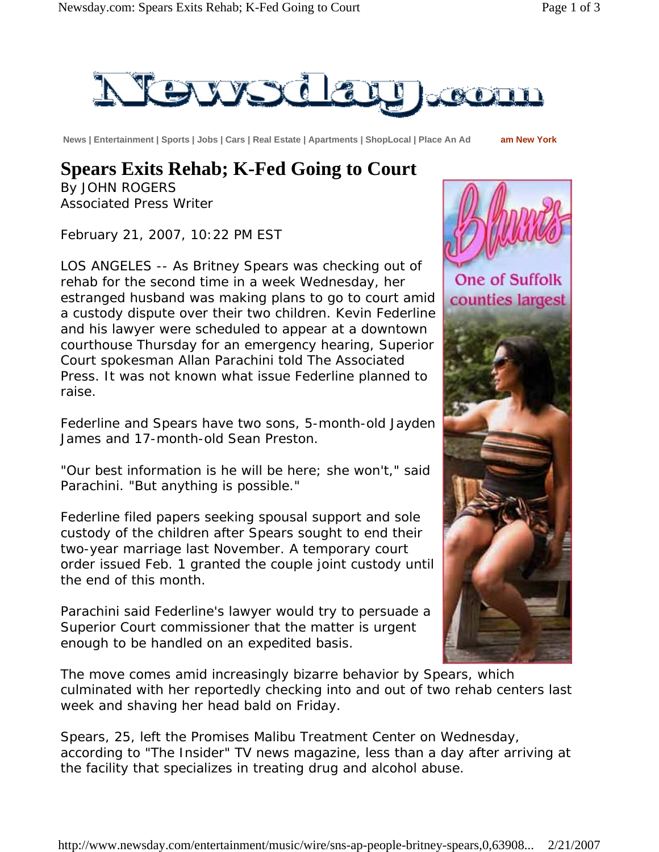

 **News | Entertainment | Sports | Jobs | Cars | Real Estate | Apartments | ShopLocal | Place An Ad am New York**

## **Spears Exits Rehab; K-Fed Going to Court**

By JOHN ROGERS Associated Press Writer

February 21, 2007, 10:22 PM EST

LOS ANGELES -- As Britney Spears was checking out of rehab for the second time in a week Wednesday, her estranged husband was making plans to go to court amid a custody dispute over their two children. Kevin Federline and his lawyer were scheduled to appear at a downtown courthouse Thursday for an emergency hearing, Superior Court spokesman Allan Parachini told The Associated Press. It was not known what issue Federline planned to raise.

Federline and Spears have two sons, 5-month-old Jayden James and 17-month-old Sean Preston.

"Our best information is he will be here; she won't," said Parachini. "But anything is possible."

Federline filed papers seeking spousal support and sole custody of the children after Spears sought to end their two-year marriage last November. A temporary court order issued Feb. 1 granted the couple joint custody until the end of this month.

Parachini said Federline's lawyer would try to persuade a Superior Court commissioner that the matter is urgent enough to be handled on an expedited basis.



The move comes amid increasingly bizarre behavior by Spears, which culminated with her reportedly checking into and out of two rehab centers last week and shaving her head bald on Friday.

Spears, 25, left the Promises Malibu Treatment Center on Wednesday, according to "The Insider" TV news magazine, less than a day after arriving at the facility that specializes in treating drug and alcohol abuse.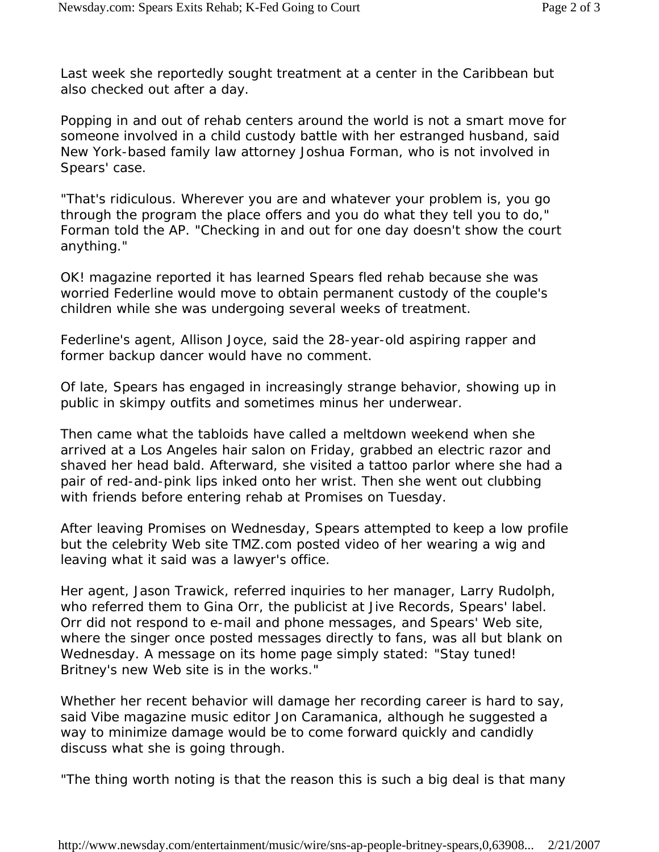Last week she reportedly sought treatment at a center in the Caribbean but also checked out after a day.

Popping in and out of rehab centers around the world is not a smart move for someone involved in a child custody battle with her estranged husband, said New York-based family law attorney Joshua Forman, who is not involved in Spears' case.

"That's ridiculous. Wherever you are and whatever your problem is, you go through the program the place offers and you do what they tell you to do," Forman told the AP. "Checking in and out for one day doesn't show the court anything."

OK! magazine reported it has learned Spears fled rehab because she was worried Federline would move to obtain permanent custody of the couple's children while she was undergoing several weeks of treatment.

Federline's agent, Allison Joyce, said the 28-year-old aspiring rapper and former backup dancer would have no comment.

Of late, Spears has engaged in increasingly strange behavior, showing up in public in skimpy outfits and sometimes minus her underwear.

Then came what the tabloids have called a meltdown weekend when she arrived at a Los Angeles hair salon on Friday, grabbed an electric razor and shaved her head bald. Afterward, she visited a tattoo parlor where she had a pair of red-and-pink lips inked onto her wrist. Then she went out clubbing with friends before entering rehab at Promises on Tuesday.

After leaving Promises on Wednesday, Spears attempted to keep a low profile but the celebrity Web site TMZ.com posted video of her wearing a wig and leaving what it said was a lawyer's office.

Her agent, Jason Trawick, referred inquiries to her manager, Larry Rudolph, who referred them to Gina Orr, the publicist at Jive Records, Spears' label. Orr did not respond to e-mail and phone messages, and Spears' Web site, where the singer once posted messages directly to fans, was all but blank on Wednesday. A message on its home page simply stated: "Stay tuned! Britney's new Web site is in the works."

Whether her recent behavior will damage her recording career is hard to say, said Vibe magazine music editor Jon Caramanica, although he suggested a way to minimize damage would be to come forward quickly and candidly discuss what she is going through.

"The thing worth noting is that the reason this is such a big deal is that many